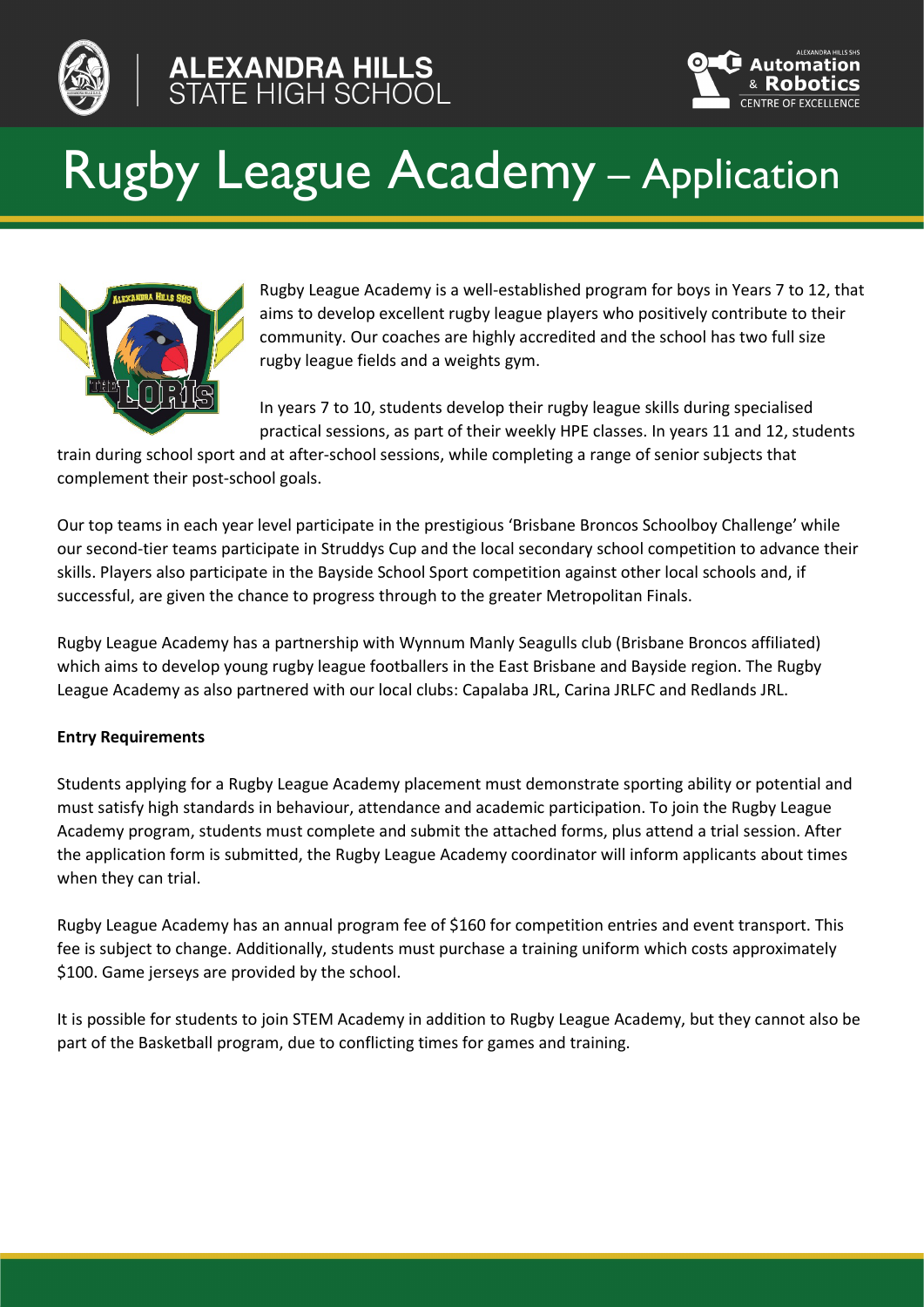

# **ALEXANDRA HILLS<br>STATE HIGH SCHOOL**



## Rugby League Academy – Application



Rugby League Academy is a well-established program for boys in Years 7 to 12, that aims to develop excellent rugby league players who positively contribute to their community. Our coaches are highly accredited and the school has two full size rugby league fields and a weights gym.

In years 7 to 10, students develop their rugby league skills during specialised practical sessions, as part of their weekly HPE classes. In years 11 and 12, students

train during school sport and at after-school sessions, while completing a range of senior subjects that complement their post-school goals.

Our top teams in each year level participate in the prestigious 'Brisbane Broncos Schoolboy Challenge' while our second-tier teams participate in Struddys Cup and the local secondary school competition to advance their skills. Players also participate in the Bayside School Sport competition against other local schools and, if successful, are given the chance to progress through to the greater Metropolitan Finals.

Rugby League Academy has a partnership with Wynnum Manly Seagulls club (Brisbane Broncos affiliated) which aims to develop young rugby league footballers in the East Brisbane and Bayside region. The Rugby League Academy as also partnered with our local clubs: Capalaba JRL, Carina JRLFC and Redlands JRL.

### **Entry Requirements**

Students applying for a Rugby League Academy placement must demonstrate sporting ability or potential and must satisfy high standards in behaviour, attendance and academic participation. To join the Rugby League Academy program, students must complete and submit the attached forms, plus attend a trial session. After the application form is submitted, the Rugby League Academy coordinator will inform applicants about times when they can trial.

Rugby League Academy has an annual program fee of \$160 for competition entries and event transport. This fee is subject to change. Additionally, students must purchase a training uniform which costs approximately \$100. Game jerseys are provided by the school.

It is possible for students to join STEM Academy in addition to Rugby League Academy, but they cannot also be part of the Basketball program, due to conflicting times for games and training.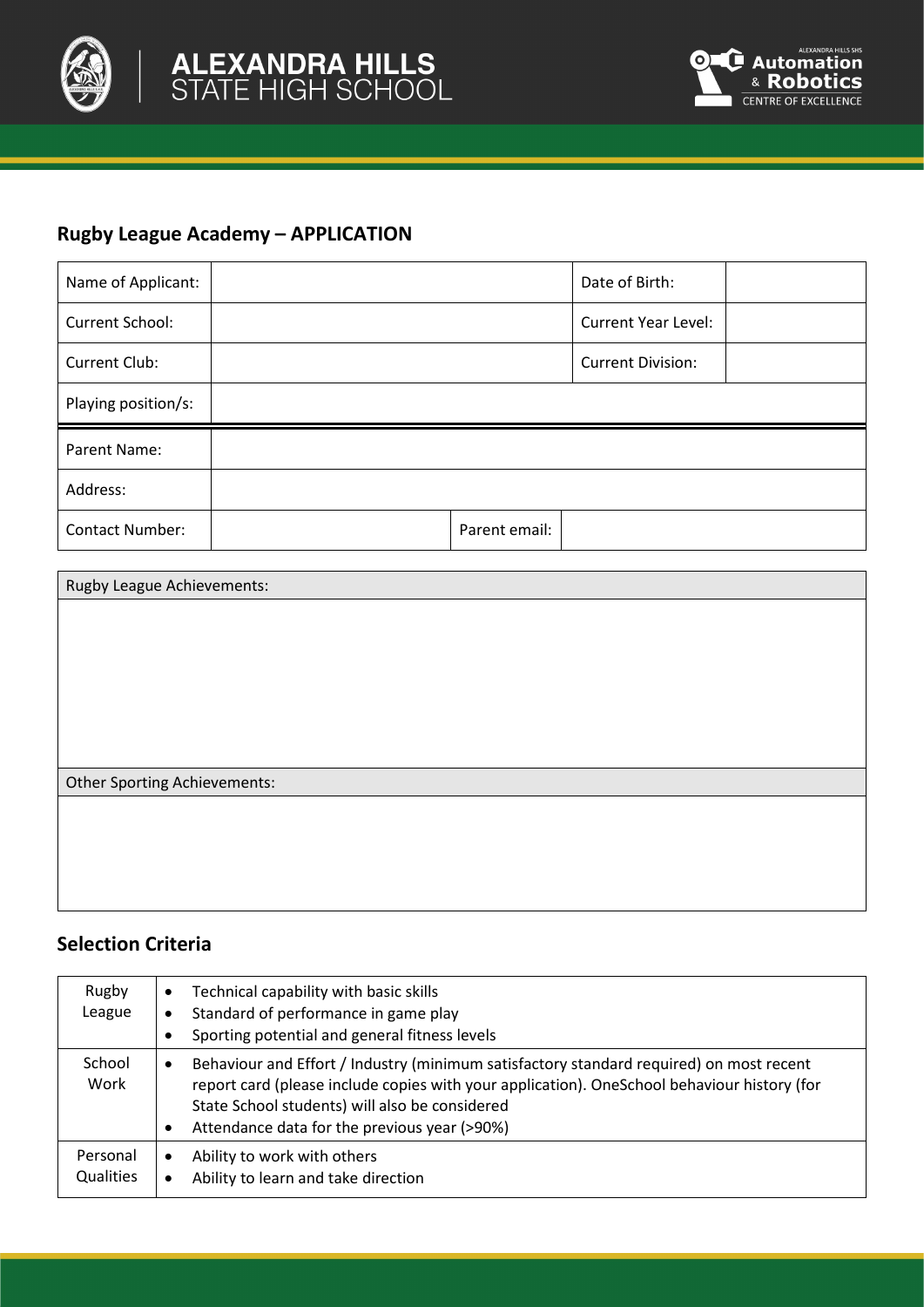



## **Rugby League Academy – APPLICATION**

| Name of Applicant:     |               | Date of Birth:             |  |
|------------------------|---------------|----------------------------|--|
| Current School:        |               | <b>Current Year Level:</b> |  |
| Current Club:          |               | <b>Current Division:</b>   |  |
| Playing position/s:    |               |                            |  |
| Parent Name:           |               |                            |  |
| Address:               |               |                            |  |
| <b>Contact Number:</b> | Parent email: |                            |  |

| Rugby League Achievements:   |  |  |  |  |
|------------------------------|--|--|--|--|
|                              |  |  |  |  |
|                              |  |  |  |  |
|                              |  |  |  |  |
|                              |  |  |  |  |
|                              |  |  |  |  |
|                              |  |  |  |  |
| Other Sporting Achievements: |  |  |  |  |
|                              |  |  |  |  |
|                              |  |  |  |  |
|                              |  |  |  |  |
|                              |  |  |  |  |

## **Selection Criteria**

| Rugby<br>League              | Technical capability with basic skills<br>٠<br>Standard of performance in game play<br>$\bullet$<br>Sporting potential and general fitness levels                                                                                                                                                                  |
|------------------------------|--------------------------------------------------------------------------------------------------------------------------------------------------------------------------------------------------------------------------------------------------------------------------------------------------------------------|
| School<br>Work               | Behaviour and Effort / Industry (minimum satisfactory standard required) on most recent<br>$\bullet$<br>report card (please include copies with your application). OneSchool behaviour history (for<br>State School students) will also be considered<br>Attendance data for the previous year (>90%)<br>$\bullet$ |
| Personal<br><b>Qualities</b> | Ability to work with others<br>$\bullet$<br>Ability to learn and take direction<br>$\bullet$                                                                                                                                                                                                                       |